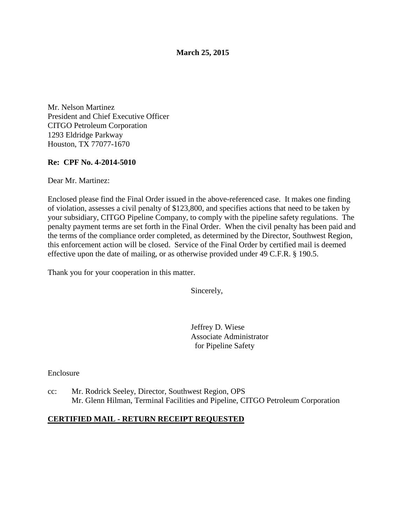**March 25, 2015** 

Mr. Nelson Martinez President and Chief Executive Officer CITGO Petroleum Corporation 1293 Eldridge Parkway Houston, TX 77077-1670

### **Re: CPF No. 4-2014-5010**

Dear Mr. Martinez:

Enclosed please find the Final Order issued in the above-referenced case. It makes one finding of violation, assesses a civil penalty of \$123,800, and specifies actions that need to be taken by your subsidiary, CITGO Pipeline Company, to comply with the pipeline safety regulations. The penalty payment terms are set forth in the Final Order. When the civil penalty has been paid and the terms of the compliance order completed, as determined by the Director, Southwest Region, this enforcement action will be closed. Service of the Final Order by certified mail is deemed effective upon the date of mailing, or as otherwise provided under 49 C.F.R. § 190.5.

Thank you for your cooperation in this matter.

Sincerely,

Jeffrey D. Wiese Associate Administrator for Pipeline Safety

Enclosure

cc: Mr. Rodrick Seeley, Director, Southwest Region, OPS Mr. Glenn Hilman, Terminal Facilities and Pipeline, CITGO Petroleum Corporation

#### **CERTIFIED MAIL - RETURN RECEIPT REQUESTED**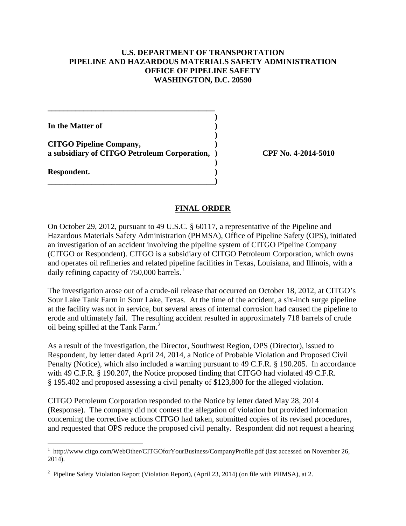### **U.S. DEPARTMENT OF TRANSPORTATION PIPELINE AND HAZARDOUS MATERIALS SAFETY ADMINISTRATION OFFICE OF PIPELINE SAFETY WASHINGTON, D.C. 20590**

 **) In the Matter of )** 

**CITGO Pipeline Company, ) a subsidiary of CITGO Petroleum Corporation, ) CPF No. 4-2014-5010** 

 **)** 

**\_\_\_\_\_\_\_\_\_\_\_\_\_\_\_\_\_\_\_\_\_\_\_\_\_\_\_\_\_\_\_\_\_\_\_\_\_\_\_\_\_\_)** 

 **)** 

**\_\_\_\_\_\_\_\_\_\_\_\_\_\_\_\_\_\_\_\_\_\_\_\_\_\_\_\_\_\_\_\_\_\_\_\_\_\_\_\_\_\_** 

**Respondent. )** 

#### **FINAL ORDER**

On October 29, 2012, pursuant to 49 U.S.C. § 60117, a representative of the Pipeline and Hazardous Materials Safety Administration (PHMSA), Office of Pipeline Safety (OPS), initiated an investigation of an accident involving the pipeline system of CITGO Pipeline Company (CITGO or Respondent). CITGO is a subsidiary of CITGO Petroleum Corporation, which owns and operates oil refineries and related pipeline facilities in Texas, Louisiana, and Illinois, with a daily refining capacity of  $750,000$  barrels.<sup>1</sup>

The investigation arose out of a crude-oil release that occurred on October 18, 2012, at CITGO's Sour Lake Tank Farm in Sour Lake, Texas. At the time of the accident, a six-inch surge pipeline at the facility was not in service, but several areas of internal corrosion had caused the pipeline to erode and ultimately fail. The resulting accident resulted in approximately 718 barrels of crude oil being spilled at the Tank Farm.<sup>2</sup>

As a result of the investigation, the Director, Southwest Region, OPS (Director), issued to Respondent, by letter dated April 24, 2014, a Notice of Probable Violation and Proposed Civil Penalty (Notice), which also included a warning pursuant to 49 C.F.R. § 190.205. In accordance with 49 C.F.R. § 190.207, the Notice proposed finding that CITGO had violated 49 C.F.R. § 195.402 and proposed assessing a civil penalty of \$123,800 for the alleged violation.

CITGO Petroleum Corporation responded to the Notice by letter dated May 28, 2014 (Response). The company did not contest the allegation of violation but provided information concerning the corrective actions CITGO had taken, submitted copies of its revised procedures, and requested that OPS reduce the proposed civil penalty. Respondent did not request a hearing

 $\overline{a}$ <sup>1</sup> http://www.citgo.com/WebOther/CITGOforYourBusiness/CompanyProfile.pdf (last accessed on November 26, 2014).

<sup>&</sup>lt;sup>2</sup> Pipeline Safety Violation Report (Violation Report), (April 23, 2014) (on file with PHMSA), at 2.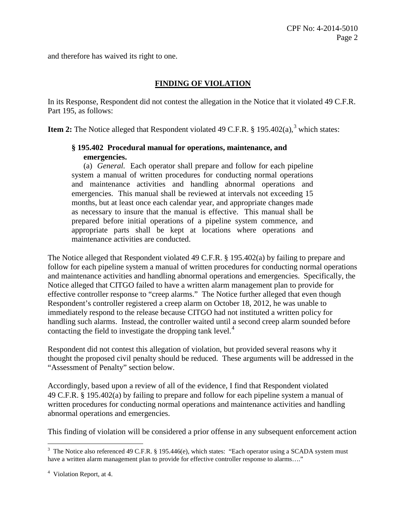and therefore has waived its right to one.

# **FINDING OF VIOLATION**

In its Response, Respondent did not contest the allegation in the Notice that it violated 49 C.F.R. Part 195, as follows:

**Item 2:** The Notice alleged that Respondent violated 49 C.F.R. § 195.402(a),<sup>3</sup> which states:

# **§ 195.402 Procedural manual for operations, maintenance, and emergencies.**

(a) *General.* Each operator shall prepare and follow for each pipeline system a manual of written procedures for conducting normal operations and maintenance activities and handling abnormal operations and emergencies. This manual shall be reviewed at intervals not exceeding 15 months, but at least once each calendar year, and appropriate changes made as necessary to insure that the manual is effective. This manual shall be prepared before initial operations of a pipeline system commence, and appropriate parts shall be kept at locations where operations and maintenance activities are conducted.

The Notice alleged that Respondent violated 49 C.F.R. § 195.402(a) by failing to prepare and follow for each pipeline system a manual of written procedures for conducting normal operations and maintenance activities and handling abnormal operations and emergencies. Specifically, the Notice alleged that CITGO failed to have a written alarm management plan to provide for effective controller response to "creep alarms." The Notice further alleged that even though Respondent's controller registered a creep alarm on October 18, 2012, he was unable to immediately respond to the release because CITGO had not instituted a written policy for handling such alarms. Instead, the controller waited until a second creep alarm sounded before contacting the field to investigate the dropping tank level. $4$ 

Respondent did not contest this allegation of violation, but provided several reasons why it thought the proposed civil penalty should be reduced. These arguments will be addressed in the "Assessment of Penalty" section below.

Accordingly, based upon a review of all of the evidence, I find that Respondent violated 49 C.F.R. § 195.402(a) by failing to prepare and follow for each pipeline system a manual of written procedures for conducting normal operations and maintenance activities and handling abnormal operations and emergencies.

This finding of violation will be considered a prior offense in any subsequent enforcement action

 $\overline{a}$ 

<sup>&</sup>lt;sup>3</sup> The Notice also referenced 49 C.F.R. § 195.446(e), which states: "Each operator using a SCADA system must have a written alarm management plan to provide for effective controller response to alarms…."

<sup>&</sup>lt;sup>4</sup> Violation Report, at 4.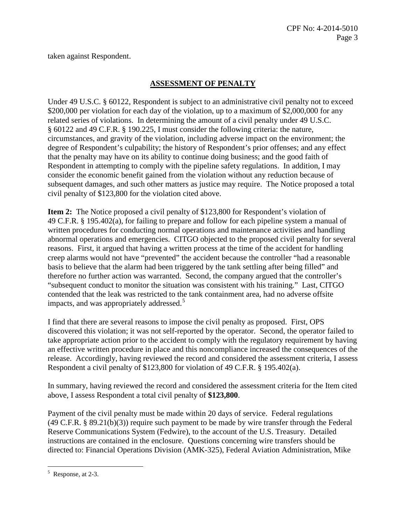taken against Respondent.

## **ASSESSMENT OF PENALTY**

Under 49 U.S.C. § 60122, Respondent is subject to an administrative civil penalty not to exceed \$200,000 per violation for each day of the violation, up to a maximum of \$2,000,000 for any related series of violations. In determining the amount of a civil penalty under 49 U.S.C. § 60122 and 49 C.F.R. § 190.225, I must consider the following criteria: the nature, circumstances, and gravity of the violation, including adverse impact on the environment; the degree of Respondent's culpability; the history of Respondent's prior offenses; and any effect that the penalty may have on its ability to continue doing business; and the good faith of Respondent in attempting to comply with the pipeline safety regulations. In addition, I may consider the economic benefit gained from the violation without any reduction because of subsequent damages, and such other matters as justice may require. The Notice proposed a total civil penalty of \$123,800 for the violation cited above.

**Item 2:** The Notice proposed a civil penalty of \$123,800 for Respondent's violation of 49 C.F.R. § 195.402(a), for failing to prepare and follow for each pipeline system a manual of written procedures for conducting normal operations and maintenance activities and handling abnormal operations and emergencies. CITGO objected to the proposed civil penalty for several reasons. First, it argued that having a written process at the time of the accident for handling creep alarms would not have "prevented" the accident because the controller "had a reasonable basis to believe that the alarm had been triggered by the tank settling after being filled" and therefore no further action was warranted. Second, the company argued that the controller's "subsequent conduct to monitor the situation was consistent with his training." Last, CITGO contended that the leak was restricted to the tank containment area, had no adverse offsite impacts, and was appropriately addressed.<sup>5</sup>

I find that there are several reasons to impose the civil penalty as proposed. First, OPS discovered this violation; it was not self-reported by the operator. Second, the operator failed to take appropriate action prior to the accident to comply with the regulatory requirement by having an effective written procedure in place and this noncompliance increased the consequences of the release. Accordingly, having reviewed the record and considered the assessment criteria, I assess Respondent a civil penalty of \$123,800 for violation of 49 C.F.R. § 195.402(a).

In summary, having reviewed the record and considered the assessment criteria for the Item cited above, I assess Respondent a total civil penalty of **\$123,800**.

Payment of the civil penalty must be made within 20 days of service. Federal regulations (49 C.F.R. § 89.21(b)(3)) require such payment to be made by wire transfer through the Federal Reserve Communications System (Fedwire), to the account of the U.S. Treasury. Detailed instructions are contained in the enclosure. Questions concerning wire transfers should be directed to: Financial Operations Division (AMK-325), Federal Aviation Administration, Mike

 $\overline{a}$ 5 Response, at 2-3.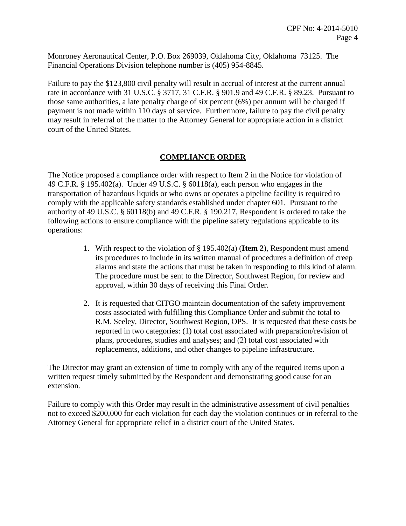Monroney Aeronautical Center, P.O. Box 269039, Oklahoma City, Oklahoma 73125. The Financial Operations Division telephone number is (405) 954-8845.

Failure to pay the \$123,800 civil penalty will result in accrual of interest at the current annual rate in accordance with 31 U.S.C. § 3717, 31 C.F.R. § 901.9 and 49 C.F.R. § 89.23. Pursuant to those same authorities, a late penalty charge of six percent (6%) per annum will be charged if payment is not made within 110 days of service. Furthermore, failure to pay the civil penalty may result in referral of the matter to the Attorney General for appropriate action in a district court of the United States.

# **COMPLIANCE ORDER**

The Notice proposed a compliance order with respect to Item 2 in the Notice for violation of 49 C.F.R. § 195.402(a). Under 49 U.S.C. § 60118(a), each person who engages in the transportation of hazardous liquids or who owns or operates a pipeline facility is required to comply with the applicable safety standards established under chapter 601. Pursuant to the authority of 49 U.S.C. § 60118(b) and 49 C.F.R. § 190.217, Respondent is ordered to take the following actions to ensure compliance with the pipeline safety regulations applicable to its operations:

- 1. With respect to the violation of § 195.402(a) (**Item 2**), Respondent must amend its procedures to include in its written manual of procedures a definition of creep alarms and state the actions that must be taken in responding to this kind of alarm. The procedure must be sent to the Director, Southwest Region, for review and approval, within 30 days of receiving this Final Order.
- 2. It is requested that CITGO maintain documentation of the safety improvement costs associated with fulfilling this Compliance Order and submit the total to R.M. Seeley, Director, Southwest Region, OPS. It is requested that these costs be reported in two categories: (1) total cost associated with preparation/revision of plans, procedures, studies and analyses; and (2) total cost associated with replacements, additions, and other changes to pipeline infrastructure.

The Director may grant an extension of time to comply with any of the required items upon a written request timely submitted by the Respondent and demonstrating good cause for an extension.

Failure to comply with this Order may result in the administrative assessment of civil penalties not to exceed \$200,000 for each violation for each day the violation continues or in referral to the Attorney General for appropriate relief in a district court of the United States.